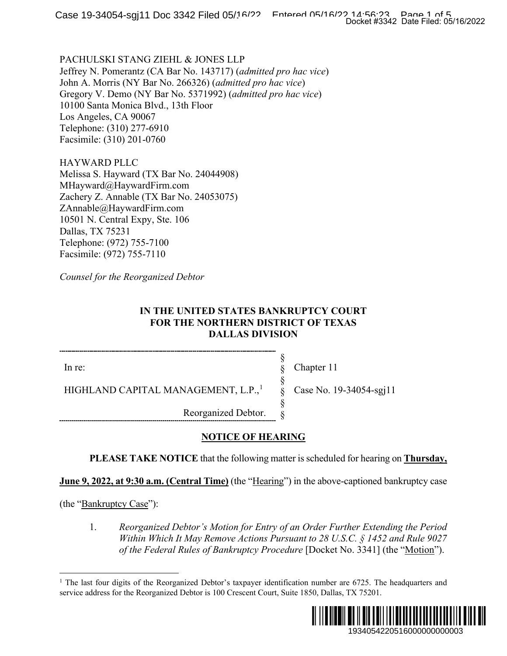PACHULSKI STANG ZIEHL & JONES LLP Jeffrey N. Pomerantz (CA Bar No. 143717) (*admitted pro hac vice*) John A. Morris (NY Bar No. 266326) (*admitted pro hac vice*) Gregory V. Demo (NY Bar No. 5371992) (*admitted pro hac vice*) 10100 Santa Monica Blvd., 13th Floor Los Angeles, CA 90067 Telephone: (310) 277-6910 Facsimile: (310) 201-0760

HAYWARD PLLC Melissa S. Hayward (TX Bar No. 24044908) MHayward@HaywardFirm.com Zachery Z. Annable (TX Bar No. 24053075) ZAnnable@HaywardFirm.com 10501 N. Central Expy, Ste. 106 Dallas, TX 75231 Telephone: (972) 755-7100 Facsimile: (972) 755-7110

*Counsel for the Reorganized Debtor* 

#### **IN THE UNITED STATES BANKRUPTCY COURT FOR THE NORTHERN DISTRICT OF TEXAS DALLAS DIVISION**

In re:

Chapter 11

§ § § § § §

HIGHLAND CAPITAL MANAGEMENT, L.P.,<sup>1</sup>

Case No. 19-34054-sgj11

Reorganized Debtor.

### **NOTICE OF HEARING**

**PLEASE TAKE NOTICE** that the following matter is scheduled for hearing on **Thursday,** 

**June 9, 2022, at 9:30 a.m. (Central Time)** (the "Hearing") in the above-captioned bankruptcy case

(the "Bankruptcy Case"):

1. *Reorganized Debtor's Motion for Entry of an Order Further Extending the Period Within Which It May Remove Actions Pursuant to 28 U.S.C. § 1452 and Rule 9027 of the Federal Rules of Bankruptcy Procedure* [Docket No. 3341] (the "Motion").

<sup>&</sup>lt;sup>1</sup> The last four digits of the Reorganized Debtor's taxpayer identification number are  $6725$ . The headquarters and service address for the Reorganized Debtor is 100 Crescent Court, Suite 1850, Dallas, TX 75201.

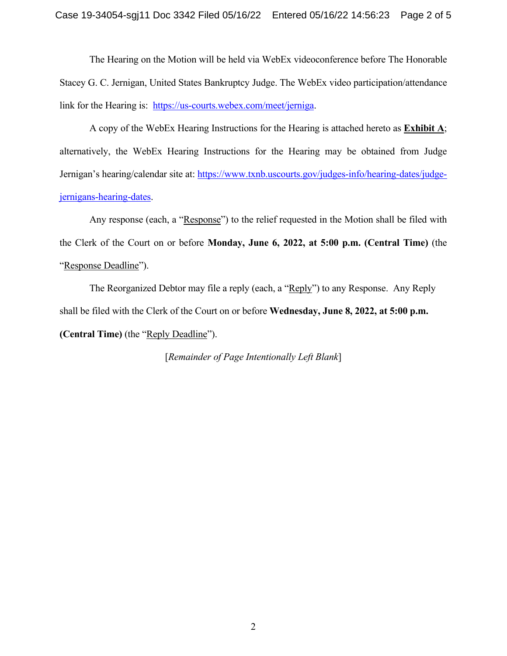The Hearing on the Motion will be held via WebEx videoconference before The Honorable Stacey G. C. Jernigan, United States Bankruptcy Judge. The WebEx video participation/attendance link for the Hearing is: [https://us-courts.webex.com/meet/jerniga.](https://us-courts.webex.com/meet/jerniga)

A copy of the WebEx Hearing Instructions for the Hearing is attached hereto as **Exhibit A**; alternatively, the WebEx Hearing Instructions for the Hearing may be obtained from Judge Jernigan's hearing/calendar site at: [https://www.txnb.uscourts.gov/judges-info/hearing-dates/judge](https://www.txnb.uscourts.gov/judges-info/hearing-dates/judge-jernigans-hearing-dates)[jernigans-hearing-dates.](https://www.txnb.uscourts.gov/judges-info/hearing-dates/judge-jernigans-hearing-dates)

Any response (each, a "Response") to the relief requested in the Motion shall be filed with the Clerk of the Court on or before **Monday, June 6, 2022, at 5:00 p.m. (Central Time)** (the "Response Deadline").

The Reorganized Debtor may file a reply (each, a "Reply") to any Response. Any Reply shall be filed with the Clerk of the Court on or before **Wednesday, June 8, 2022, at 5:00 p.m. (Central Time)** (the "Reply Deadline").

[*Remainder of Page Intentionally Left Blank*]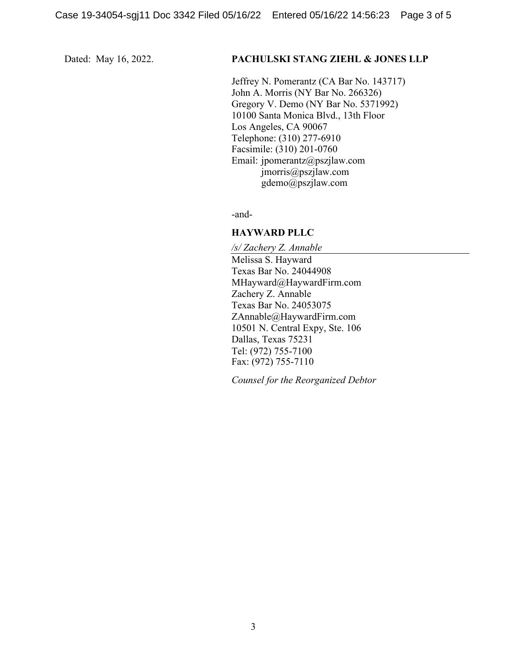#### Dated: May 16, 2022. **PACHULSKI STANG ZIEHL & JONES LLP**

Jeffrey N. Pomerantz (CA Bar No. 143717) John A. Morris (NY Bar No. 266326) Gregory V. Demo (NY Bar No. 5371992) 10100 Santa Monica Blvd., 13th Floor Los Angeles, CA 90067 Telephone: (310) 277-6910 Facsimile: (310) 201-0760 Email: jpomerantz@pszjlaw.com jmorris@pszjlaw.com gdemo@pszjlaw.com

-and-

#### **HAYWARD PLLC**

*/s/ Zachery Z. Annable* Melissa S. Hayward Texas Bar No. 24044908 MHayward@HaywardFirm.com Zachery Z. Annable Texas Bar No. 24053075 ZAnnable@HaywardFirm.com 10501 N. Central Expy, Ste. 106 Dallas, Texas 75231 Tel: (972) 755-7100 Fax: (972) 755-7110

*Counsel for the Reorganized Debtor*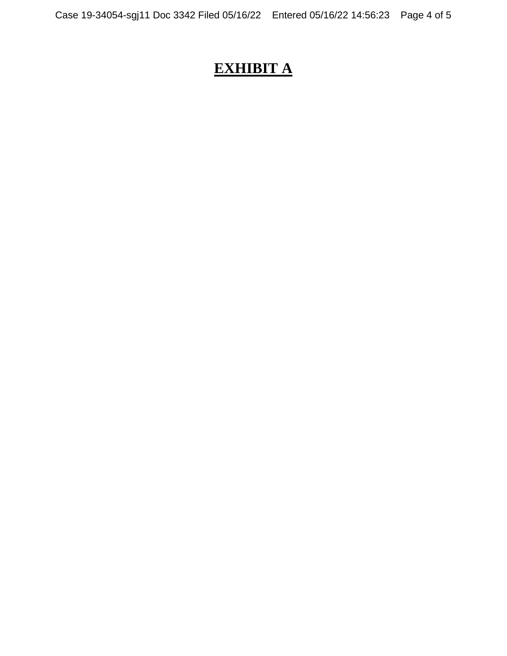# **EXHIBIT A**